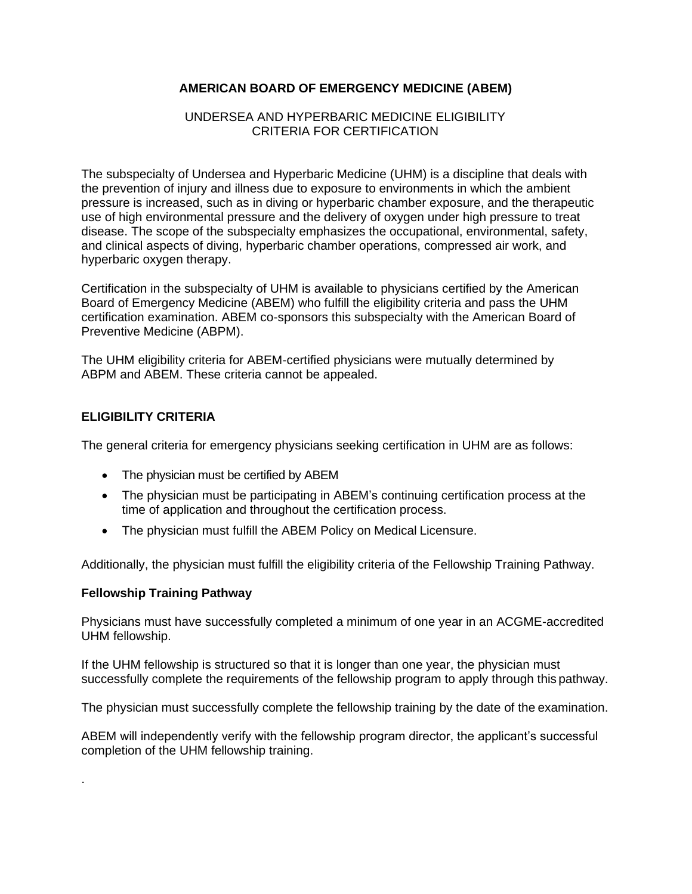# **AMERICAN BOARD OF EMERGENCY MEDICINE (ABEM)**

### UNDERSEA AND HYPERBARIC MEDICINE ELIGIBILITY CRITERIA FOR CERTIFICATION

The subspecialty of Undersea and Hyperbaric Medicine (UHM) is a discipline that deals with the prevention of injury and illness due to exposure to environments in which the ambient pressure is increased, such as in diving or hyperbaric chamber exposure, and the therapeutic use of high environmental pressure and the delivery of oxygen under high pressure to treat disease. The scope of the subspecialty emphasizes the occupational, environmental, safety, and clinical aspects of diving, hyperbaric chamber operations, compressed air work, and hyperbaric oxygen therapy.

Certification in the subspecialty of UHM is available to physicians certified by the American Board of Emergency Medicine (ABEM) who fulfill the eligibility criteria and pass the UHM certification examination. ABEM co-sponsors this subspecialty with the American Board of Preventive Medicine (ABPM).

The UHM eligibility criteria for ABEM-certified physicians were mutually determined by ABPM and ABEM. These criteria cannot be appealed.

## **ELIGIBILITY CRITERIA**

The general criteria for emergency physicians seeking certification in UHM are as follows:

- The physician must be certified by ABEM
- The physician must be participating in ABEM's continuing certification process at the time of application and throughout the certification process.
- The physician must fulfill the ABEM Policy on Medical Licensure.

Additionally, the physician must fulfill the eligibility criteria of the Fellowship Training Pathway.

### **Fellowship Training Pathway**

.

Physicians must have successfully completed a minimum of one year in an ACGME-accredited UHM fellowship.

If the UHM fellowship is structured so that it is longer than one year, the physician must successfully complete the requirements of the fellowship program to apply through this pathway.

The physician must successfully complete the fellowship training by the date of the examination.

ABEM will independently verify with the fellowship program director, the applicant's successful completion of the UHM fellowship training.